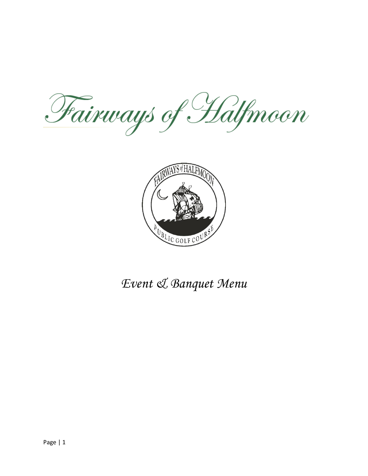Fairways of Halfmoon



*Event & Banquet Menu*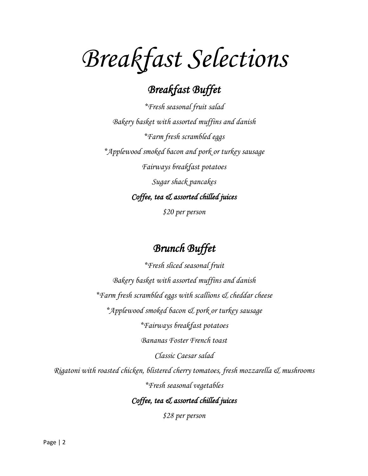# *Breakfast Selections*

## *Breakfast Buffet*

*\*Fresh seasonal fruit salad Bakery basket with assorted muffins and danish \*Farm fresh scrambled eggs \*Applewood smoked bacon and pork or turkey sausage Fairways breakfast potatoes Sugar shack pancakes Coffee, tea & assorted chilled juices* 

*\$20 per person* 

## *Brunch Buffet*

*\*Fresh sliced seasonal fruit Bakery basket with assorted muffins and danish \*Farm fresh scrambled eggs with scallions & cheddar cheese \*Applewood smoked bacon & pork or turkey sausage \*Fairways breakfast potatoes Bananas Foster French toast Classic Caesar salad Rigatoni with roasted chicken, blistered cherry tomatoes, fresh mozzarella & mushrooms \*Fresh seasonal vegetables Coffee, tea & assorted chilled juices* 

*\$28 per person*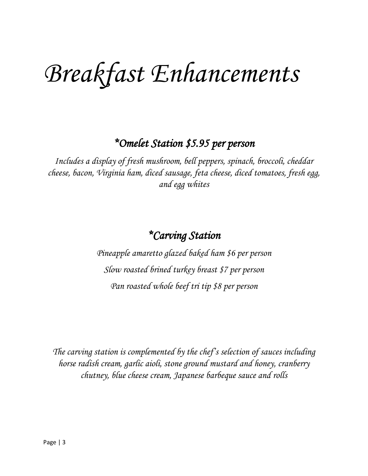# *Breakfast Enhancements*

### *\*Omelet Station \$5.95 per person*

*Includes a display of fresh mushroom, bell peppers, spinach, broccoli, cheddar cheese, bacon, Virginia ham, diced sausage, feta cheese, diced tomatoes, fresh egg, and egg whites*

## *\*Carving Station*

*Pineapple amaretto glazed baked ham \$6 per person Slow roasted brined turkey breast \$7 per person Pan roasted whole beef tri tip \$8 per person*

*The carving station is complemented by the chef's selection of sauces including horse radish cream, garlic aioli, stone ground mustard and honey, cranberry chutney, blue cheese cream, Japanese barbeque sauce and rolls*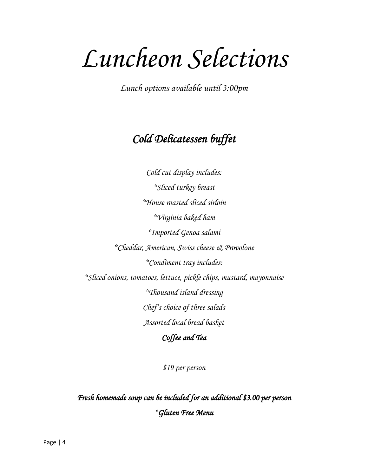# *Luncheon Selections*

*Lunch options available until 3:00pm*

# *Cold Delicatessen buffet*

*Cold cut display includes: \*Sliced turkey breast \*House roasted sliced sirloin \*Virginia baked ham \*Imported Genoa salami \*Cheddar, American, Swiss cheese & Provolone \*Condiment tray includes: \*Sliced onions, tomatoes, lettuce, pickle chips, mustard, mayonnaise \*Thousand island dressing Chef's choice of three salads Assorted local bread basket*

*Coffee and Tea* 

*\$19 per person*

*Fresh homemade soup can be included for an additional \$3.00 per person \*Gluten Free Menu*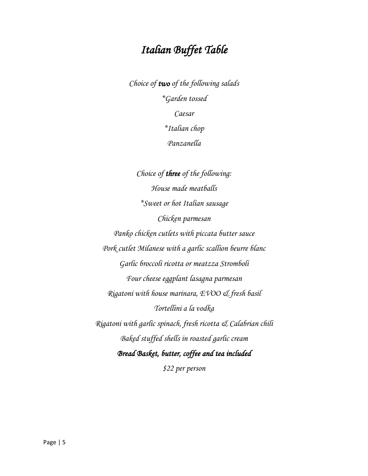## *Italian Buffet Table*

*Choice of two of the following salads \*Garden tossed Caesar \*Italian chop Panzanella*

*Choice of three of the following: House made meatballs \*Sweet or hot Italian sausage Chicken parmesan Panko chicken cutlets with piccata butter sauce Pork cutlet Milanese with a garlic scallion beurre blanc Garlic broccoli ricotta or meatzza Stromboli Four cheese eggplant lasagna parmesan Rigatoni with house marinara, EVOO & fresh basil Tortellini a la vodka Rigatoni with garlic spinach, fresh ricotta & Calabrian chili Baked stuffed shells in roasted garlic cream Bread Basket, butter, coffee and tea included* 

*\$22 per person*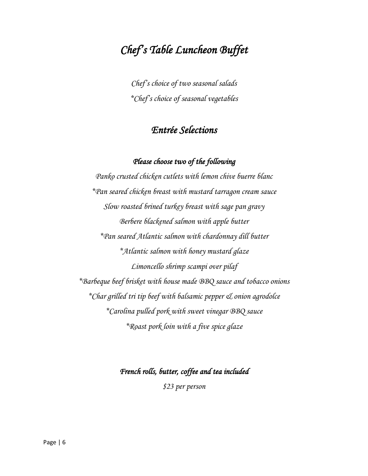# *Chef's Table Luncheon Buffet*

*Chef's choice of two seasonal salads \*Chef's choice of seasonal vegetables*

#### *Entrée Selections*

#### *Please choose two of the following*

*Panko crusted chicken cutlets with lemon chive buerre blanc \*Pan seared chicken breast with mustard tarragon cream sauce Slow roasted brined turkey breast with sage pan gravy Berbere blackened salmon with apple butter \*Pan seared Atlantic salmon with chardonnay dill butter \*Atlantic salmon with honey mustard glaze Limoncello shrimp scampi over pilaf \*Barbeque beef brisket with house made BBQ sauce and tobacco onions \*Char grilled tri tip beef with balsamic pepper & onion agrodolce \*Carolina pulled pork with sweet vinegar BBQ sauce \*Roast pork loin with a five spice glaze*

#### *French rolls, butter, coffee and tea included*

*\$23 per person*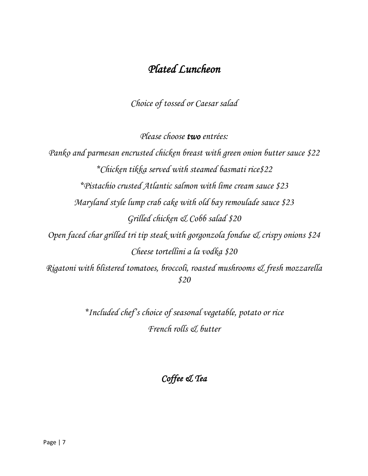## *Plated Luncheon*

*Choice of tossed or Caesar salad*

*Please choose two entrées:*

*Panko and parmesan encrusted chicken breast with green onion butter sauce \$22 \*Chicken tikka served with steamed basmati rice\$22 \*Pistachio crusted Atlantic salmon with lime cream sauce \$23 Maryland style lump crab cake with old bay remoulade sauce \$23 Grilled chicken & Cobb salad \$20 Open faced char grilled tri tip steak with gorgonzola fondue & crispy onions \$24 Cheese tortellini a la vodka \$20 Rigatoni with blistered tomatoes, broccoli, roasted mushrooms & fresh mozzarella \$20*

> *\*Included chef's choice of seasonal vegetable, potato or rice French rolls & butter*

> > *Coffee & Tea*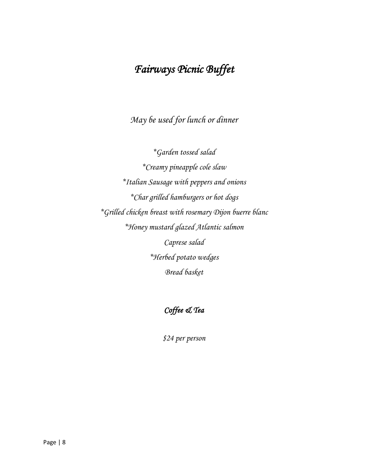# *Fairways Picnic Buffet*

*May be used for lunch or dinner*

*\*Garden tossed salad \*Creamy pineapple cole slaw \*Italian Sausage with peppers and onions \*Char grilled hamburgers or hot dogs \*Grilled chicken breast with rosemary Dijon buerre blanc \*Honey mustard glazed Atlantic salmon Caprese salad \*Herbed potato wedges Bread basket*

#### *Coffee & Tea*

*\$24 per person*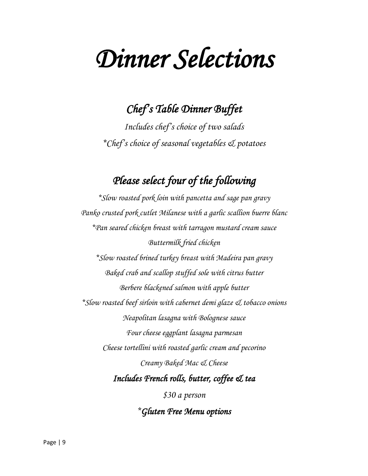# *Dinner Selections*

## *Chef's Table Dinner Buffet*

*Includes chef's choice of two salads \*Chef's choice of seasonal vegetables & potatoes*

## *Please select four of the following*

*\*Slow roasted pork loin with pancetta and sage pan gravy Panko crusted pork cutlet Milanese with a garlic scallion buerre blanc \*Pan seared chicken breast with tarragon mustard cream sauce Buttermilk fried chicken \*Slow roasted brined turkey breast with Madeira pan gravy Baked crab and scallop stuffed sole with citrus butter Berbere blackened salmon with apple butter \*Slow roasted beef sirloin with cabernet demi glaze & tobacco onions Neapolitan lasagna with Bolognese sauce Four cheese eggplant lasagna parmesan Cheese tortellini with roasted garlic cream and pecorino Creamy Baked Mac & Cheese Includes French rolls, butter, coffee & tea* 

*\$30 a person*

*\*Gluten Free Menu options*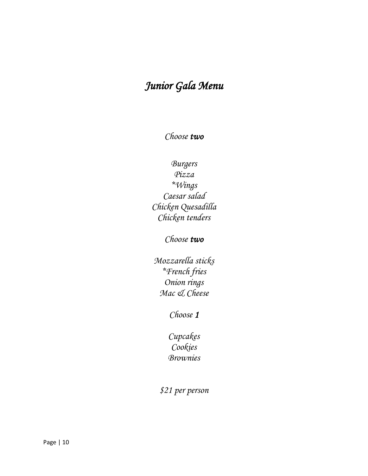# *Junior Gala Menu*

*Choose two*

#### *Burgers Pizza \*Wings Caesar salad Chicken Quesadilla Chicken tenders*

#### *Choose two*

*Mozzarella sticks \*French fries Onion rings Mac & Cheese*

*Choose 1* 

*Cupcakes Cookies Brownies*

*\$21 per person*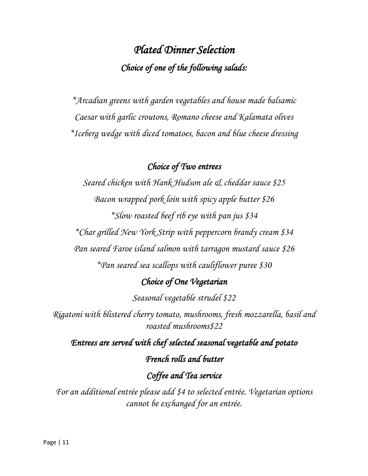# *Plated Dinner Selection Choice of one of the following salads:*

*\*Arcadian greens with garden vegetables and house made balsamic Caesar with garlic croutons, Romano cheese and Kalamata olives \*Iceberg wedge with diced tomatoes, bacon and blue cheese dressing*

#### *Choice of Two entrees*

*Seared chicken with Hank Hudson ale & cheddar sauce \$25 Bacon wrapped pork loin with spicy apple butter \$26 \*Slow roasted beef rib eye with pan jus \$34 \*Char grilled New York Strip with peppercorn brandy cream \$34 Pan seared Faroe island salmon with tarragon mustard sauce \$26 \*Pan seared sea scallops with cauliflower puree \$30*

#### *Choice of One Vegetarian*

*Seasonal vegetable strudel \$22*

*Rigatoni with blistered cherry tomato, mushrooms, fresh mozzarella, basil and roasted mushrooms\$22*

*Entrees are served with chef selected seasonal vegetable and potato French rolls and butter Coffee and Tea service* 

*For an additional entrée please add \$4 to selected entrée. Vegetarian options cannot be exchanged for an entrée.*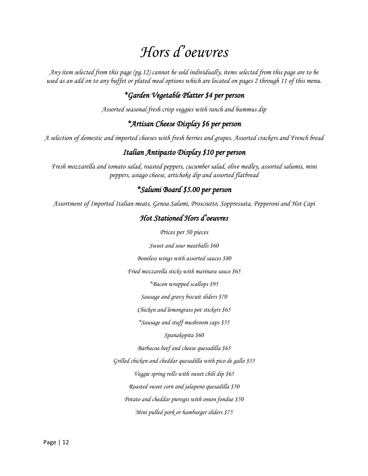# *Hors d'oeuvres*

*Any item selected from this page (pg.12) cannot be sold individually, items selected from this page are to be used as an add on to any buffet or plated meal options which are located on pages 2 through 11 of this menu.*

#### *\*Garden Vegetable Platter \$4 per person*

*Assorted seasonal fresh crisp veggies with ranch and hummus dip*

#### *\*Artisan Cheese Display \$6 per person*

*A selection of domestic and imported cheeses with fresh berries and grapes. Assorted crackers and French bread*

#### *Italian Antipasto Display \$10 per person*

*Fresh mozzarella and tomato salad, roasted peppers, cucumber salad, olive medley, assorted salumis, mini peppers, asiago cheese, artichoke dip and assorted flatbread*

#### *\*Salumi Board \$5.00 per person*

*Assortment of Imported Italian meats, Genoa Salami, Prosciutto, Soppressata, Pepperoni and Hot Capi*

#### *Hot Stationed Hors d'oeuvres*

*Prices per 50 pieces*

*Sweet and sour meatballs \$60*

*Boneless wings with assorted sauces \$80*

*Fried mozzarella sticks with marinara sauce \$65*

*\*Bacon wrapped scallops \$95*

*Sausage and gravy biscuit sliders \$70*

*Chicken and lemongrass pot stickers \$65*

*\*Sausage and stuff mushroom caps \$55*

*Spanakopita \$60*

*Barbacoa beef and cheese quesadilla \$65*

*Grilled chicken and cheddar quesadilla with pico de gallo \$55*

*Veggie spring rolls with sweet chili dip \$65*

*Roasted sweet corn and jalapeno quesadilla \$50*

*Potato and cheddar pierogis with onion fondue \$50*

*Mini pulled pork or hamburger sliders \$75*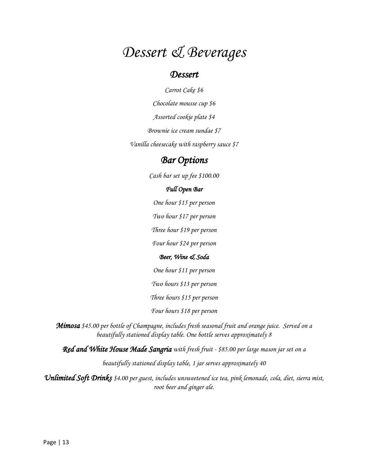# *Dessert & Beverages*

#### *Dessert*

*Carrot Cake \$6 Chocolate mousse cup \$6 Assorted cookie plate \$4 Brownie ice cream sundae \$7*

*Vanilla cheesecake with raspberry sauce \$7*

#### *Bar Options*

*Cash bar set up fee \$100.00*

#### *Full Open Bar*

*One hour \$15 per person*

*Two hour \$17 per person*

*Three hour \$19 per person*

*Four hour \$24 per person*

#### *Beer, Wine & Soda*

*One hour \$11 per person*

*Two hours \$13 per person*

*Three hours \$15 per person*

*Four hours \$18 per person*

*Mimosa \$45.00 per bottle of Champagne, includes fresh seasonal fruit and orange juice. Served on a beautifully stationed display table. One bottle serves approximately 8*

*Red and White House Made Sangria with fresh fruit - \$85.00 per large mason jar set on a* 

*beautifully stationed display table, 1 jar serves approximately 40*

*Unlimited Soft Drinks \$4.00 per guest, includes unsweetened ice tea, pink lemonade, cola, diet, sierra mist, root beer and ginger ale.*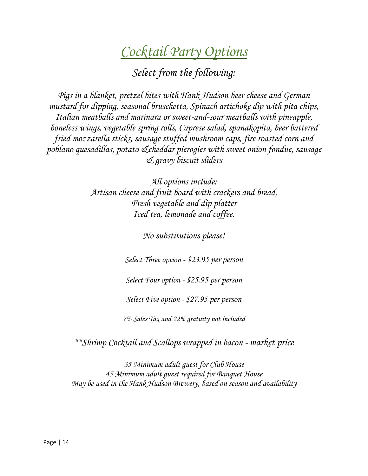# *Cocktail Party Options*

*Select from the following:*

*Pigs in a blanket, pretzel bites with Hank Hudson beer cheese and German mustard for dipping, seasonal bruschetta, Spinach artichoke dip with pita chips, Italian meatballs and marinara or sweet-and-sour meatballs with pineapple, boneless wings, vegetable spring rolls, Caprese salad, spanakopita, beer battered fried mozzarella sticks, sausage stuffed mushroom caps, fire roasted corn and poblano quesadillas, potato &cheddar pierogies with sweet onion fondue, sausage & gravy biscuit sliders*

> *All options include: Artisan cheese and fruit board with crackers and bread, Fresh vegetable and dip platter Iced tea, lemonade and coffee.*

> > *No substitutions please!*

*Select Three option - \$23.95 per person*

*Select Four option - \$25.95 per person*

*Select Five option - \$27.95 per person*

*7% Sales Tax and 22% gratuity not included*

*\*\*Shrimp Cocktail and Scallops wrapped in bacon - market price*

*35 Minimum adult guest for Club House 45 Minimum adult guest required for Banquet House May be used in the Hank Hudson Brewery, based on season and availability*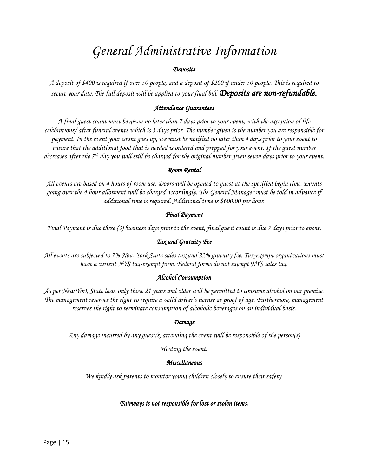# *General Administrative Information*

#### *Deposits*

*A deposit of \$400 is required if over 50 people, and a deposit of \$200 if under 50 people. This is required to secure your date. The full deposit will be applied to your final bill. Deposits are non-refundable.*

#### *Attendance Guarantees*

*A final guest count must be given no later than 7 days prior to your event, with the exception of life celebrations/ after funeral events which is 3 days prior. The number given is the number you are responsible for payment. In the event your count goes up, we must be notified no later than 4 days prior to your event to ensure that the additional food that is needed is ordered and prepped for your event. If the guest number decreases after the 7th day you will still be charged for the original number given seven days prior to your event.*

#### *Room Rental*

*All events are based on 4 hours of room use. Doors will be opened to guest at the specified begin time. Events going over the 4 hour allotment will be charged accordingly. The General Manager must be told in advance if additional time is required. Additional time is \$600.00 per hour.*

#### *Final Payment*

*Final Payment is due three (3) business days prior to the event, final guest count is due 7 days prior to event.*

#### *Tax and Gratuity Fee*

*All events are subjected to 7% New York State sales tax and 22% gratuity fee. Tax-exempt organizations must have a current NYS tax-exempt form. Federal forms do not exempt NYS sales tax.*

#### *Alcohol Consumption*

*As per New York State law, only those 21 years and older will be permitted to consume alcohol on our premise. The management reserves the right to require a valid driver's license as proof of age. Furthermore, management reserves the right to terminate consumption of alcoholic beverages on an individual basis.*

#### *Damage*

*Any damage incurred by any guest(s) attending the event will be responsible of the person(s)*

*Hosting the event.*

#### *Miscellaneous*

*We kindly ask parents to monitor young children closely to ensure their safety.*

#### *Fairways is not responsible for lost or stolen items.*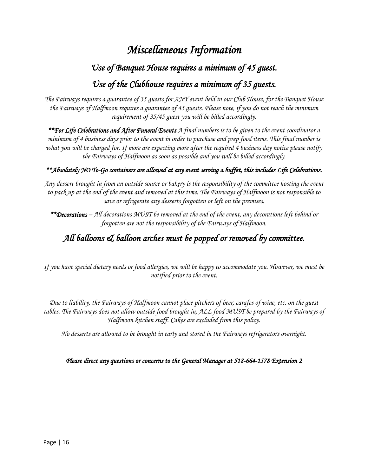### *Miscellaneous Information*

#### *Use of Banquet House requires a minimum of 45 guest.*

#### *Use of the Clubhouse requires a minimum of 35 guests.*

*The Fairways requires a guarantee of 35 guests for ANY event held in our Club House, for the Banquet House the Fairways of Halfmoon requires a guarantee of 45 guests. Please note, if you do not reach the minimum requirement of 35/45 guest you will be billed accordingly.* 

*\*\*For Life Celebrations and After Funeral Events A final numbers is to be given to the event coordinator a minimum of 4 business days prior to the event in order to purchase and prep food items. This final number is what you will be charged for. If more are expecting more after the required 4 business day notice please notify the Fairways of Halfmoon as soon as possible and you will be billed accordingly.* 

#### *\*\*Absolutely NO To-Go containers are allowed at any event serving a buffet, this includes Life Celebrations.*

*Any dessert brought in from an outside source or bakery is the responsibility of the committee hosting the event to pack up at the end of the event and removed at this time. The Fairways of Halfmoon is not responsible to save or refrigerate any desserts forgotten or left on the premises.*

*\*\*Decorations – All decorations MUST be removed at the end of the event, any decorations left behind or forgotten are not the responsibility of the Fairways of Halfmoon.* 

#### *All balloons & balloon arches must be popped or removed by committee.*

*If you have special dietary needs or food allergies, we will be happy to accommodate you. However, we must be notified prior to the event.*

*Due to liability, the Fairways of Halfmoon cannot place pitchers of beer, carafes of wine, etc. on the guest tables. The Fairways does not allow outside food brought in, ALL food MUST be prepared by the Fairways of Halfmoon kitchen staff. Cakes are excluded from this policy.*

*No desserts are allowed to be brought in early and stored in the Fairways refrigerators overnight.* 

*Please direct any questions or concerns to the General Manager at 518-664-1578 Extension 2*